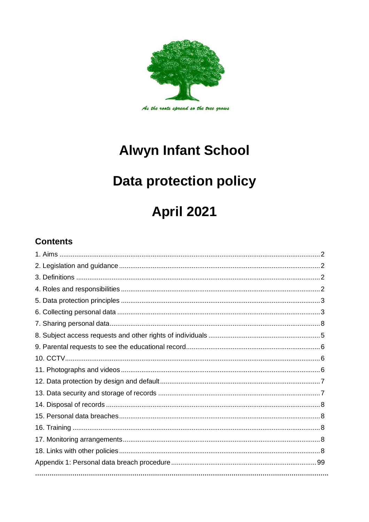

# **Alwyn Infant School**

# **Data protection policy**

# **April 2021**

# **Contents**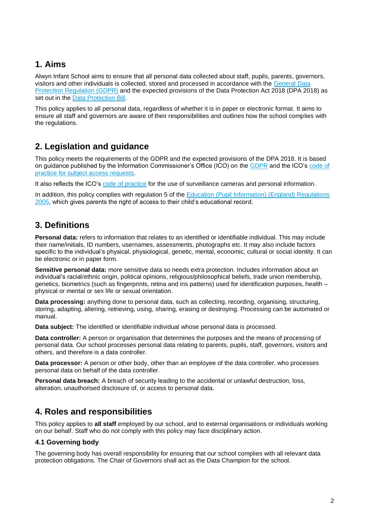## **1. Aims**

Alwyn Infant School aims to ensure that all personal data collected about staff, pupils, parents, governors, visitors and other individuals is collected, stored and processed in accordance with the [General Data](http://data.consilium.europa.eu/doc/document/ST-5419-2016-INIT/en/pdf)  [Protection Regulation \(GDPR\)](http://data.consilium.europa.eu/doc/document/ST-5419-2016-INIT/en/pdf) and the expected provisions of the Data Protection Act 2018 (DPA 2018) as set out in the [Data Protection Bill.](https://publications.parliament.uk/pa/bills/cbill/2017-2019/0153/18153.pdf)

This policy applies to all personal data, regardless of whether it is in paper or electronic format. It aims to ensure all staff and governors are aware of their responsibilities and outlines how the school complies with the regulations.

## **2. Legislation and guidance**

This policy meets the requirements of the GDPR and the expected provisions of the DPA 2018. It is based on guidance published by the Information Commissioner's Office (ICO) on the [GDPR](https://ico.org.uk/for-organisations/guide-to-the-general-data-protection-regulation-gdpr/) and the ICO's code of [practice for subject access requests.](https://ico.org.uk/media/for-organisations/documents/2014223/subject-access-code-of-practice.pdf)

It also reflects the ICO's [code of practice](https://ico.org.uk/media/for-organisations/documents/1542/cctv-code-of-practice.pdf) for the use of surveillance cameras and personal information.

In addition, this policy complies with regulation 5 of the Education (Pupil Information) (England) Regulations [2005,](http://www.legislation.gov.uk/uksi/2005/1437/regulation/5/made) which gives parents the right of access to their child's educational record.

## **3. Definitions**

**Personal data:** refers to information that relates to an identified or identifiable individual. This may include their name/initials, ID numbers, usernames, assessments, photographs etc. It may also include factors specific to the individual's physical, physiological, genetic, mental, economic, cultural or social identity. It can be electronic or in paper form.

**Sensitive personal data:** more sensitive data so needs extra protection. Includes information about an individual's racial/ethnic origin, political opinions, religious/philosophical beliefs, trade union membership, genetics, biometrics (such as fingerprints, retina and iris patterns) used for identification purposes, health – physical or mental or sex life or sexual orientation.

**Data processing:** anything done to personal data, such as collecting, recording, organising, structuring, storing, adapting, altering, retrieving, using, sharing, erasing or destroying. Processing can be automated or manual.

**Data subject:** The identified or identifiable individual whose personal data is processed.

**Data controller:** A person or organisation that determines the purposes and the means of processing of personal data. Our school processes personal data relating to parents, pupils, staff, governors, visitors and others, and therefore is a data controller.

**Data processor:** A person or other body, other than an employee of the data controller, who processes personal data on behalf of the data controller.

**Personal data breach:** A breach of security leading to the accidental or unlawful destruction, loss, alteration, unauthorised disclosure of, or access to personal data.

## **4. Roles and responsibilities**

This policy applies to **all staff** employed by our school, and to external organisations or individuals working on our behalf. Staff who do not comply with this policy may face disciplinary action.

#### **4.1 Governing body**

The governing body has overall responsibility for ensuring that our school complies with all relevant data protection obligations. The Chair of Governors shall act as the Data Champion for the school.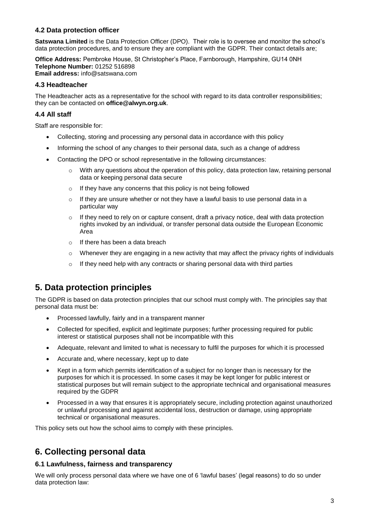#### **4.2 Data protection officer**

**Satswana Limited** is the Data Protection Officer (DPO). Their role is to oversee and monitor the school's data protection procedures, and to ensure they are compliant with the GDPR. Their contact details are;

**Office Address:** Pembroke House, St Christopher's Place, Farnborough, Hampshire, GU14 0NH **Telephone Number:** 01252 516898 **Email address:** info@satswana.com

#### **4.3 Headteacher**

The Headteacher acts as a representative for the school with regard to its data controller responsibilities; they can be contacted on **office@alwyn.org.uk**.

#### **4.4 All staff**

Staff are responsible for:

- Collecting, storing and processing any personal data in accordance with this policy
- Informing the school of any changes to their personal data, such as a change of address
- Contacting the DPO or school representative in the following circumstances:
	- $\circ$  With any questions about the operation of this policy, data protection law, retaining personal data or keeping personal data secure
	- o If they have any concerns that this policy is not being followed
	- $\circ$  If they are unsure whether or not they have a lawful basis to use personal data in a particular way
	- $\circ$  If they need to rely on or capture consent, draft a privacy notice, deal with data protection rights invoked by an individual, or transfer personal data outside the European Economic Area
	- o If there has been a data breach
	- o Whenever they are engaging in a new activity that may affect the privacy rights of individuals
	- o If they need help with any contracts or sharing personal data with third parties

## **5. Data protection principles**

The GDPR is based on data protection principles that our school must comply with. The principles say that personal data must be:

- Processed lawfully, fairly and in a transparent manner
- Collected for specified, explicit and legitimate purposes; further processing required for public interest or statistical purposes shall not be incompatible with this
- Adequate, relevant and limited to what is necessary to fulfil the purposes for which it is processed
- Accurate and, where necessary, kept up to date
- Kept in a form which permits identification of a subject for no longer than is necessary for the purposes for which it is processed. In some cases it may be kept longer for public interest or statistical purposes but will remain subject to the appropriate technical and organisational measures required by the GDPR
- Processed in a way that ensures it is appropriately secure, including protection against unauthorized or unlawful processing and against accidental loss, destruction or damage, using appropriate technical or organisational measures.

This policy sets out how the school aims to comply with these principles.

## **6. Collecting personal data**

#### **6.1 Lawfulness, fairness and transparency**

We will only process personal data where we have one of 6 'lawful bases' (legal reasons) to do so under data protection law: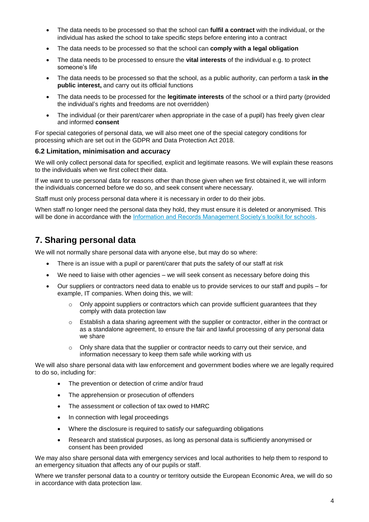- The data needs to be processed so that the school can **fulfil a contract** with the individual, or the individual has asked the school to take specific steps before entering into a contract
- The data needs to be processed so that the school can **comply with a legal obligation**
- The data needs to be processed to ensure the **vital interests** of the individual e.g. to protect someone's life
- The data needs to be processed so that the school, as a public authority, can perform a task **in the public interest,** and carry out its official functions
- The data needs to be processed for the **legitimate interests** of the school or a third party (provided the individual's rights and freedoms are not overridden)
- The individual (or their parent/carer when appropriate in the case of a pupil) has freely given clear and informed **consent**

For special categories of personal data, we will also meet one of the special category conditions for processing which are set out in the GDPR and Data Protection Act 2018.

#### **6.2 Limitation, minimisation and accuracy**

We will only collect personal data for specified, explicit and legitimate reasons. We will explain these reasons to the individuals when we first collect their data.

If we want to use personal data for reasons other than those given when we first obtained it, we will inform the individuals concerned before we do so, and seek consent where necessary.

Staff must only process personal data where it is necessary in order to do their jobs.

When staff no longer need the personal data they hold, they must ensure it is deleted or anonymised. This will be done in accordance with the [Information and Records Management Society's toolkit for schools.](https://cdn.ymaws.com/irms.site-ym.com/resource/collection/8BCEF755-0353-4F66-9877-CCDA4BFEEAC4/2016_IRMS_Toolkit_for_Schools_v5_Master.pdf)

### **7. Sharing personal data**

We will not normally share personal data with anyone else, but may do so where:

- There is an issue with a pupil or parent/carer that puts the safety of our staff at risk
- We need to liaise with other agencies we will seek consent as necessary before doing this
- Our suppliers or contractors need data to enable us to provide services to our staff and pupils for example, IT companies. When doing this, we will:
	- $\circ$  Only appoint suppliers or contractors which can provide sufficient guarantees that they comply with data protection law
	- $\circ$  Establish a data sharing agreement with the supplier or contractor, either in the contract or as a standalone agreement, to ensure the fair and lawful processing of any personal data we share
	- $\circ$  Only share data that the supplier or contractor needs to carry out their service, and information necessary to keep them safe while working with us

We will also share personal data with law enforcement and government bodies where we are legally required to do so, including for:

- The prevention or detection of crime and/or fraud
- The apprehension or prosecution of offenders
- The assessment or collection of tax owed to HMRC
- In connection with legal proceedings
- Where the disclosure is required to satisfy our safeguarding obligations
- Research and statistical purposes, as long as personal data is sufficiently anonymised or consent has been provided

We may also share personal data with emergency services and local authorities to help them to respond to an emergency situation that affects any of our pupils or staff.

Where we transfer personal data to a country or territory outside the European Economic Area, we will do so in accordance with data protection law.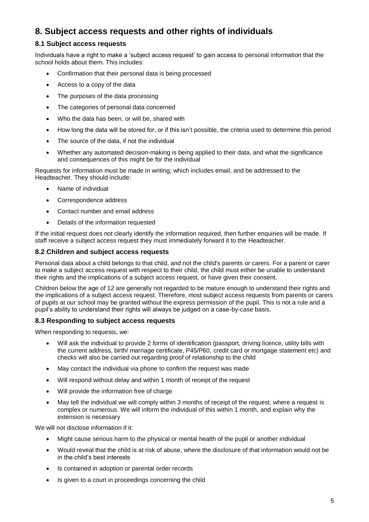## **8. Subject access requests and other rights of individuals**

#### **8.1 Subject access requests**

Individuals have a right to make a 'subject access request' to gain access to personal information that the school holds about them. This includes:

- Confirmation that their personal data is being processed
- Access to a copy of the data
- The purposes of the data processing
- The categories of personal data concerned
- Who the data has been, or will be, shared with
- How long the data will be stored for, or if this isn't possible, the criteria used to determine this period
- The source of the data, if not the individual
- Whether any automated decision-making is being applied to their data, and what the significance and consequences of this might be for the individual

Requests for information must be made in writing; which includes email, and be addressed to the Headteacher. They should include:

- Name of individual
- Correspondence address
- Contact number and email address
- Details of the information requested

If the initial request does not clearly identify the information required, then further enquiries will be made. If staff receive a subject access request they must immediately forward it to the Headteacher.

#### **8.2 Children and subject access requests**

Personal data about a child belongs to that child, and not the child's parents or carers. For a parent or carer to make a subject access request with respect to their child, the child must either be unable to understand their rights and the implications of a subject access request, or have given their consent.

Children below the age of 12 are generally not regarded to be mature enough to understand their rights and the implications of a subject access request. Therefore, most subject access requests from parents or carers of pupils at our school may be granted without the express permission of the pupil. This is not a rule and a pupil's ability to understand their rights will always be judged on a case-by-case basis.

#### **8.3 Responding to subject access requests**

When responding to requests, we:

- Will ask the individual to provide 2 forms of identification (passport, driving licence, utility bills with the current address, birth/ marriage certificate, P45/P60, credit card or mortgage statement etc) and checks will also be carried out regarding proof of relationship to the child
- May contact the individual via phone to confirm the request was made
- Will respond without delay and within 1 month of receipt of the request
- Will provide the information free of charge
- May tell the individual we will comply within 3 months of receipt of the request, where a request is complex or numerous. We will inform the individual of this within 1 month, and explain why the extension is necessary

We will not disclose information if it:

- Might cause serious harm to the physical or mental health of the pupil or another individual
- Would reveal that the child is at risk of abuse, where the disclosure of that information would not be in the child's best interests
- Is contained in adoption or parental order records
- Is given to a court in proceedings concerning the child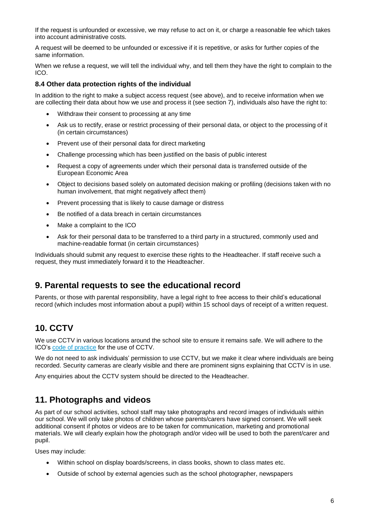If the request is unfounded or excessive, we may refuse to act on it, or charge a reasonable fee which takes into account administrative costs.

A request will be deemed to be unfounded or excessive if it is repetitive, or asks for further copies of the same information.

When we refuse a request, we will tell the individual why, and tell them they have the right to complain to the ICO.

#### **8.4 Other data protection rights of the individual**

In addition to the right to make a subject access request (see above), and to receive information when we are collecting their data about how we use and process it (see section 7), individuals also have the right to:

- Withdraw their consent to processing at any time
- Ask us to rectify, erase or restrict processing of their personal data, or object to the processing of it (in certain circumstances)
- Prevent use of their personal data for direct marketing
- Challenge processing which has been justified on the basis of public interest
- Request a copy of agreements under which their personal data is transferred outside of the European Economic Area
- Object to decisions based solely on automated decision making or profiling (decisions taken with no human involvement, that might negatively affect them)
- Prevent processing that is likely to cause damage or distress
- Be notified of a data breach in certain circumstances
- Make a complaint to the ICO
- Ask for their personal data to be transferred to a third party in a structured, commonly used and machine-readable format (in certain circumstances)

Individuals should submit any request to exercise these rights to the Headteacher. If staff receive such a request, they must immediately forward it to the Headteacher.

## **9. Parental requests to see the educational record**

Parents, or those with parental responsibility, have a legal right to free access to their child's educational record (which includes most information about a pupil) within 15 school days of receipt of a written request.

## **10. CCTV**

We use CCTV in various locations around the school site to ensure it remains safe. We will adhere to the ICO's [code of practice](https://ico.org.uk/media/for-organisations/documents/1542/cctv-code-of-practice.pdf) for the use of CCTV.

We do not need to ask individuals' permission to use CCTV, but we make it clear where individuals are being recorded. Security cameras are clearly visible and there are prominent signs explaining that CCTV is in use.

Any enquiries about the CCTV system should be directed to the Headteacher.

## **11. Photographs and videos**

As part of our school activities, school staff may take photographs and record images of individuals within our school. We will only take photos of children whose parents/carers have signed consent. We will seek additional consent if photos or videos are to be taken for communication, marketing and promotional materials. We will clearly explain how the photograph and/or video will be used to both the parent/carer and pupil.

Uses may include:

- Within school on display boards/screens, in class books, shown to class mates etc.
- Outside of school by external agencies such as the school photographer, newspapers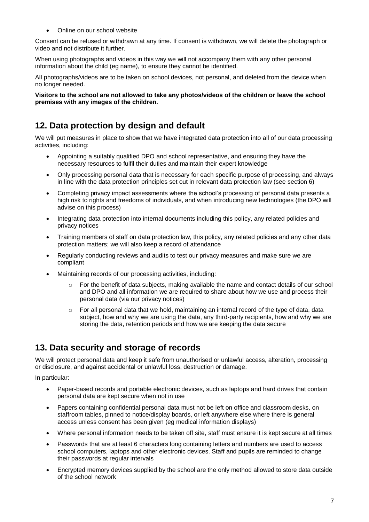Online on our school website

Consent can be refused or withdrawn at any time. If consent is withdrawn, we will delete the photograph or video and not distribute it further.

When using photographs and videos in this way we will not accompany them with any other personal information about the child (eg name), to ensure they cannot be identified.

All photographs/videos are to be taken on school devices, not personal, and deleted from the device when no longer needed.

**Visitors to the school are not allowed to take any photos/videos of the children or leave the school premises with any images of the children.**

## **12. Data protection by design and default**

We will put measures in place to show that we have integrated data protection into all of our data processing activities, including:

- Appointing a suitably qualified DPO and school representative, and ensuring they have the necessary resources to fulfil their duties and maintain their expert knowledge
- Only processing personal data that is necessary for each specific purpose of processing, and always in line with the data protection principles set out in relevant data protection law (see section 6)
- Completing privacy impact assessments where the school's processing of personal data presents a high risk to rights and freedoms of individuals, and when introducing new technologies (the DPO will advise on this process)
- Integrating data protection into internal documents including this policy, any related policies and privacy notices
- Training members of staff on data protection law, this policy, any related policies and any other data protection matters; we will also keep a record of attendance
- Regularly conducting reviews and audits to test our privacy measures and make sure we are compliant
- Maintaining records of our processing activities, including:
	- $\circ$  For the benefit of data subjects, making available the name and contact details of our school and DPO and all information we are required to share about how we use and process their personal data (via our privacy notices)
	- $\circ$  For all personal data that we hold, maintaining an internal record of the type of data, data subject, how and why we are using the data, any third-party recipients, how and why we are storing the data, retention periods and how we are keeping the data secure

## **13. Data security and storage of records**

We will protect personal data and keep it safe from unauthorised or unlawful access, alteration, processing or disclosure, and against accidental or unlawful loss, destruction or damage.

In particular:

- Paper-based records and portable electronic devices, such as laptops and hard drives that contain personal data are kept secure when not in use
- Papers containing confidential personal data must not be left on office and classroom desks, on staffroom tables, pinned to notice/display boards, or left anywhere else where there is general access unless consent has been given (eg medical information displays)
- Where personal information needs to be taken off site, staff must ensure it is kept secure at all times
- Passwords that are at least 6 characters long containing letters and numbers are used to access school computers, laptops and other electronic devices. Staff and pupils are reminded to change their passwords at regular intervals
- Encrypted memory devices supplied by the school are the only method allowed to store data outside of the school network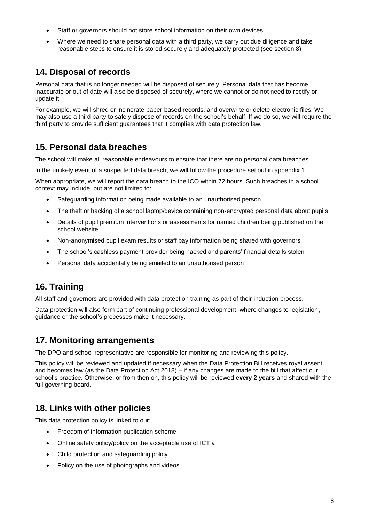- Staff or governors should not store school information on their own devices.
- Where we need to share personal data with a third party, we carry out due diligence and take reasonable steps to ensure it is stored securely and adequately protected (see section 8)

## **14. Disposal of records**

Personal data that is no longer needed will be disposed of securely. Personal data that has become inaccurate or out of date will also be disposed of securely, where we cannot or do not need to rectify or update it.

For example, we will shred or incinerate paper-based records, and overwrite or delete electronic files. We may also use a third party to safely dispose of records on the school's behalf. If we do so, we will require the third party to provide sufficient guarantees that it complies with data protection law.

## **15. Personal data breaches**

The school will make all reasonable endeavours to ensure that there are no personal data breaches.

In the unlikely event of a suspected data breach, we will follow the procedure set out in appendix 1.

When appropriate, we will report the data breach to the ICO within 72 hours. Such breaches in a school context may include, but are not limited to:

- Safeguarding information being made available to an unauthorised person
- The theft or hacking of a school laptop/device containing non-encrypted personal data about pupils
- Details of pupil premium interventions or assessments for named children being published on the school website
- Non-anonymised pupil exam results or staff pay information being shared with governors
- The school's cashless payment provider being hacked and parents' financial details stolen
- Personal data accidentally being emailed to an unauthorised person

# **16. Training**

All staff and governors are provided with data protection training as part of their induction process.

Data protection will also form part of continuing professional development, where changes to legislation, guidance or the school's processes make it necessary.

## **17. Monitoring arrangements**

The DPO and school representative are responsible for monitoring and reviewing this policy.

This policy will be reviewed and updated if necessary when the Data Protection Bill receives royal assent and becomes law (as the Data Protection Act 2018) – if any changes are made to the bill that affect our school's practice. Otherwise, or from then on, this policy will be reviewed **every 2 years** and shared with the full governing board.

## **18. Links with other policies**

This data protection policy is linked to our:

- Freedom of information publication scheme
- Online safety policy/policy on the acceptable use of ICT a
- Child protection and safeguarding policy
- Policy on the use of photographs and videos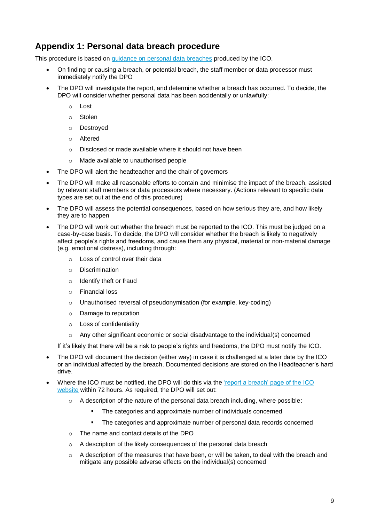## **Appendix 1: Personal data breach procedure**

This procedure is based on [guidance on personal data breaches](https://ico.org.uk/for-organisations/guide-to-the-general-data-protection-regulation-gdpr/personal-data-breaches/) produced by the ICO.

- On finding or causing a breach, or potential breach, the staff member or data processor must immediately notify the DPO
- The DPO will investigate the report, and determine whether a breach has occurred. To decide, the DPO will consider whether personal data has been accidentally or unlawfully:
	- o Lost
	- o Stolen
	- o Destroyed
	- o Altered
	- o Disclosed or made available where it should not have been
	- o Made available to unauthorised people
- The DPO will alert the headteacher and the chair of governors
- The DPO will make all reasonable efforts to contain and minimise the impact of the breach, assisted by relevant staff members or data processors where necessary. (Actions relevant to specific data types are set out at the end of this procedure)
- The DPO will assess the potential consequences, based on how serious they are, and how likely they are to happen
- The DPO will work out whether the breach must be reported to the ICO. This must be judged on a case-by-case basis. To decide, the DPO will consider whether the breach is likely to negatively affect people's rights and freedoms, and cause them any physical, material or non-material damage (e.g. emotional distress), including through:
	- o Loss of control over their data
	- o Discrimination
	- o Identify theft or fraud
	- o Financial loss
	- o Unauthorised reversal of pseudonymisation (for example, key-coding)
	- o Damage to reputation
	- o Loss of confidentiality
	- $\circ$  Any other significant economic or social disadvantage to the individual(s) concerned

If it's likely that there will be a risk to people's rights and freedoms, the DPO must notify the ICO.

- The DPO will document the decision (either way) in case it is challenged at a later date by the ICO or an individual affected by the breach. Documented decisions are stored on the Headteacher's hard drive.
- Where the ICO must be notified, the DPO will do this via the ['report a breach' page of the ICO](https://ico.org.uk/for-organisations/report-a-breach/)  [website](https://ico.org.uk/for-organisations/report-a-breach/) within 72 hours. As required, the DPO will set out:
	- $\circ$  A description of the nature of the personal data breach including, where possible:
		- The categories and approximate number of individuals concerned
		- The categories and approximate number of personal data records concerned
	- o The name and contact details of the DPO
	- o A description of the likely consequences of the personal data breach
	- $\circ$  A description of the measures that have been, or will be taken, to deal with the breach and mitigate any possible adverse effects on the individual(s) concerned